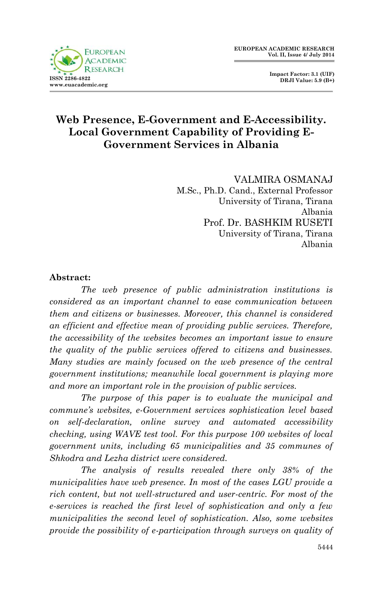

 **Impact Factor: 3.1 (UIF) DRJI Value: 5.9 (B+)**

### **Web Presence, E-Government and E-Accessibility. Local Government Capability of Providing E-Government Services in Albania**

VALMIRA OSMANAJ M.Sc., Ph.D. Cand., External Professor University of Tirana, Tirana Albania Prof. Dr. BASHKIM RUSETI University of Tirana, Tirana Albania

#### **Abstract:**

*The web presence of public administration institutions is considered as an important channel to ease communication between them and citizens or businesses. Moreover, this channel is considered an efficient and effective mean of providing public services. Therefore, the accessibility of the websites becomes an important issue to ensure the quality of the public services offered to citizens and businesses. Many studies are mainly focused on the web presence of the central government institutions; meanwhile local government is playing more and more an important role in the provision of public services.*

*The purpose of this paper is to evaluate the municipal and commune's websites, e-Government services sophistication level based on self-declaration, online survey and automated accessibility checking, using WAVE test tool. For this purpose 100 websites of local government units, including 65 municipalities and 35 communes of Shkodra and Lezha district were considered.*

*The analysis of results revealed there only 38% of the municipalities have web presence. In most of the cases LGU provide a rich content, but not well-structured and user-centric. For most of the e-services is reached the first level of sophistication and only a few municipalities the second level of sophistication. Also, some websites provide the possibility of e-participation through surveys on quality of*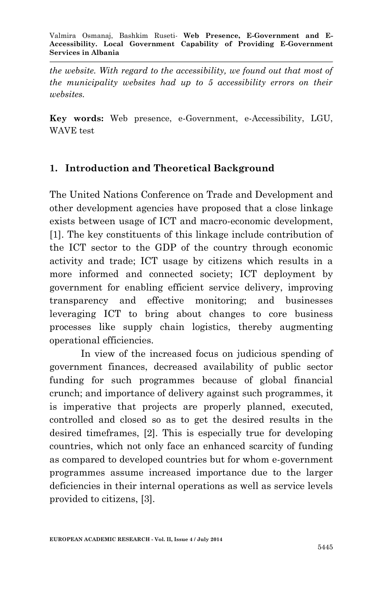*the website. With regard to the accessibility, we found out that most of the municipality websites had up to 5 accessibility errors on their websites.*

**Key words:** Web presence, e-Government, e-Accessibility, LGU, WAVE test

### **1. Introduction and Theoretical Background**

The United Nations Conference on Trade and Development and other development agencies have proposed that a close linkage exists between usage of ICT and macro-economic development, [1]. The key constituents of this linkage include contribution of the ICT sector to the GDP of the country through economic activity and trade; ICT usage by citizens which results in a more informed and connected society; ICT deployment by government for enabling efficient service delivery, improving transparency and effective monitoring; and businesses leveraging ICT to bring about changes to core business processes like supply chain logistics, thereby augmenting operational efficiencies.

In view of the increased focus on judicious spending of government finances, decreased availability of public sector funding for such programmes because of global financial crunch; and importance of delivery against such programmes, it is imperative that projects are properly planned, executed, controlled and closed so as to get the desired results in the desired timeframes, [2]. This is especially true for developing countries, which not only face an enhanced scarcity of funding as compared to developed countries but for whom e-government programmes assume increased importance due to the larger deficiencies in their internal operations as well as service levels provided to citizens, [3].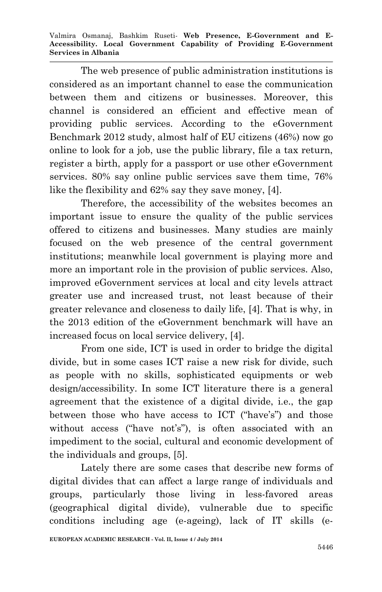Valmira Osmanaj, Bashkim Ruseti*-* **Web Presence, E-Government and E-Accessibility. Local Government Capability of Providing E-Government Services in Albania**

The web presence of public administration institutions is considered as an important channel to ease the communication between them and citizens or businesses. Moreover, this channel is considered an efficient and effective mean of providing public services. According to the eGovernment Benchmark 2012 study, almost half of EU citizens (46%) now go online to look for a job, use the public library, file a tax return, register a birth, apply for a passport or use other eGovernment services. 80% say online public services save them time, 76% like the flexibility and 62% say they save money, [4].

Therefore, the accessibility of the websites becomes an important issue to ensure the quality of the public services offered to citizens and businesses. Many studies are mainly focused on the web presence of the central government institutions; meanwhile local government is playing more and more an important role in the provision of public services. Also, improved eGovernment services at local and city levels attract greater use and increased trust, not least because of their greater relevance and closeness to daily life, [4]. That is why, in the 2013 edition of the eGovernment benchmark will have an increased focus on local service delivery, [4].

From one side, ICT is used in order to bridge the digital divide, but in some cases ICT raise a new risk for divide, such as people with no skills, sophisticated equipments or web design/accessibility. In some ICT literature there is a general agreement that the existence of a digital divide, i.e., the gap between those who have access to ICT ("have's") and those without access ("have not's"), is often associated with an impediment to the social, cultural and economic development of the individuals and groups, [5].

Lately there are some cases that describe new forms of digital divides that can affect a large range of individuals and groups, particularly those living in less-favored areas (geographical digital divide), vulnerable due to specific conditions including age (e-ageing), lack of IT skills (e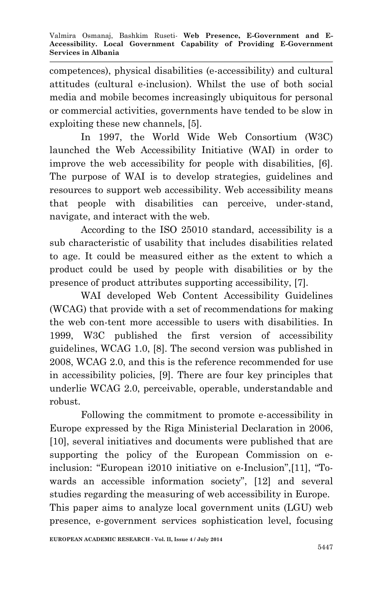competences), physical disabilities (e-accessibility) and cultural attitudes (cultural e-inclusion). Whilst the use of both social media and mobile becomes increasingly ubiquitous for personal or commercial activities, governments have tended to be slow in exploiting these new channels, [5].

In 1997, the World Wide Web Consortium (W3C) launched the Web Accessibility Initiative (WAI) in order to improve the web accessibility for people with disabilities, [6]. The purpose of WAI is to develop strategies, guidelines and resources to support web accessibility. Web accessibility means that people with disabilities can perceive, under-stand, navigate, and interact with the web.

According to the ISO 25010 standard, accessibility is a sub characteristic of usability that includes disabilities related to age. It could be measured either as the extent to which a product could be used by people with disabilities or by the presence of product attributes supporting accessibility, [7].

WAI developed Web Content Accessibility Guidelines (WCAG) that provide with a set of recommendations for making the web con-tent more accessible to users with disabilities. In 1999, W3C published the first version of accessibility guidelines, WCAG 1.0, [8]. The second version was published in 2008, WCAG 2.0, and this is the reference recommended for use in accessibility policies, [9]. There are four key principles that underlie WCAG 2.0, perceivable, operable, understandable and robust.

Following the commitment to promote e-accessibility in Europe expressed by the Riga Ministerial Declaration in 2006, [10], several initiatives and documents were published that are supporting the policy of the European Commission on einclusion: "European i2010 initiative on e-Inclusion",[11], "Towards an accessible information society", [12] and several studies regarding the measuring of web accessibility in Europe. This paper aims to analyze local government units (LGU) web presence, e-government services sophistication level, focusing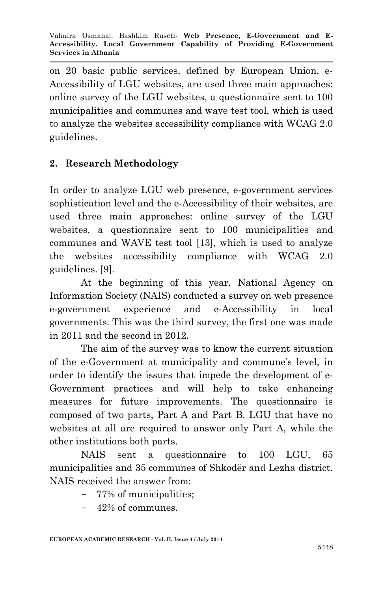on 20 basic public services, defined by European Union, e-Accessibility of LGU websites, are used three main approaches: online survey of the LGU websites, a questionnaire sent to 100 municipalities and communes and wave test tool, which is used to analyze the websites accessibility compliance with WCAG 2.0 guidelines.

### **2. Research Methodology**

In order to analyze LGU web presence, e-government services sophistication level and the e-Accessibility of their websites, are used three main approaches: online survey of the LGU websites, a questionnaire sent to 100 municipalities and communes and WAVE test tool [13], which is used to analyze the websites accessibility compliance with WCAG 2.0 guidelines. [9].

At the beginning of this year, National Agency on Information Society (NAIS) conducted a survey on web presence e-government experience and e-Accessibility in local governments. This was the third survey, the first one was made in 2011 and the second in 2012.

The aim of the survey was to know the current situation of the e-Government at municipality and commune's level, in order to identify the issues that impede the development of e-Government practices and will help to take enhancing measures for future improvements. The questionnaire is composed of two parts, Part A and Part B. LGU that have no websites at all are required to answer only Part A, while the other institutions both parts.

NAIS sent a questionnaire to 100 LGU, 65 municipalities and 35 communes of Shkodër and Lezha district. NAIS received the answer from:

- 77% of municipalities;
- 42% of communes.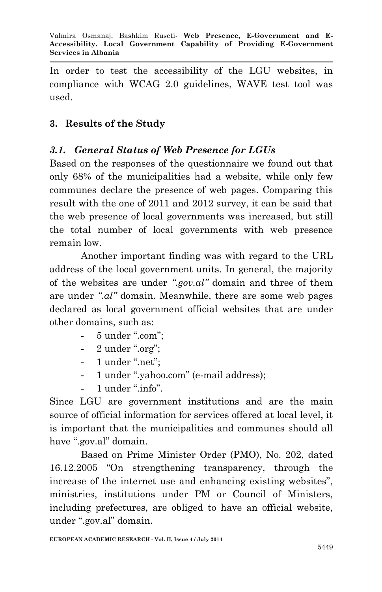In order to test the accessibility of the LGU websites, in compliance with WCAG 2.0 guidelines, WAVE test tool was used.

### **3. Results of the Study**

### *3.1. General Status of Web Presence for LGUs*

Based on the responses of the questionnaire we found out that only 68% of the municipalities had a website, while only few communes declare the presence of web pages. Comparing this result with the one of 2011 and 2012 survey, it can be said that the web presence of local governments was increased, but still the total number of local governments with web presence remain low.

Another important finding was with regard to the URL address of the local government units. In general, the majority of the websites are under *".gov.al"* domain and three of them are under *".al"* domain. Meanwhile, there are some web pages declared as local government official websites that are under other domains, such as:

- 5 under ".com";
- 2 under ".org";
- 1 under ".net";
- 1 under ".yahoo.com" (e-mail address);
- 1 under ".info".

Since LGU are government institutions and are the main source of official information for services offered at local level, it is important that the municipalities and communes should all have ".gov.al" domain.

Based on Prime Minister Order (PMO), No. 202, dated 16.12.2005 "On strengthening transparency, through the increase of the internet use and enhancing existing websites", ministries, institutions under PM or Council of Ministers, including prefectures, are obliged to have an official website, under ".gov.al" domain.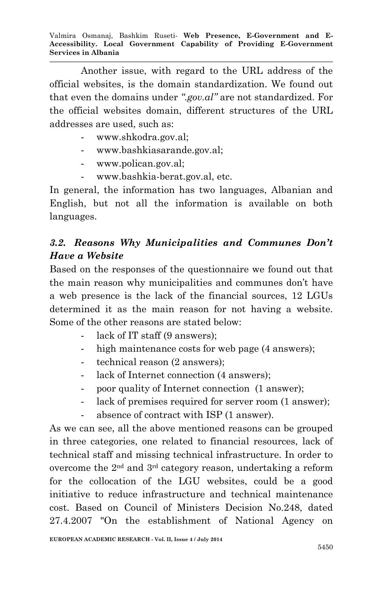Another issue, with regard to the URL address of the official websites, is the domain standardization. We found out that even the domains under *".gov.al"* are not standardized. For the official websites domain, different structures of the URL addresses are used, such as:

- [www.shkodra.gov.al;](http://www.shkodra.gov.al/)
- [www.bashkiasarande.gov.al;](http://www.bashkiasarande.gov.al/)
- [www.polican.gov.al;](http://www.polican.gov.al/)
- [www.bashkia-berat.gov.al,](http://www.bashkia-berat.gov.al/) etc.

In general, the information has two languages, Albanian and English, but not all the information is available on both languages.

## *3.2. Reasons Why Municipalities and Communes Don't Have a Website*

Based on the responses of the questionnaire we found out that the main reason why municipalities and communes don't have a web presence is the lack of the financial sources, 12 LGUs determined it as the main reason for not having a website. Some of the other reasons are stated below:

- lack of IT staff (9 answers);
- high maintenance costs for web page (4 answers);
- technical reason (2 answers);
- lack of Internet connection (4 answers);
- poor quality of Internet connection (1 answer);
- lack of premises required for server room  $(1 \text{ answer})$ ;
- absence of contract with ISP (1 answer).

As we can see, all the above mentioned reasons can be grouped in three categories, one related to financial resources, lack of technical staff and missing technical infrastructure. In order to overcome the 2nd and 3rd category reason, undertaking a reform for the collocation of the LGU websites, could be a good initiative to reduce infrastructure and technical maintenance cost. Based on Council of Ministers Decision No.248, dated 27.4.2007 "On the establishment of National Agency on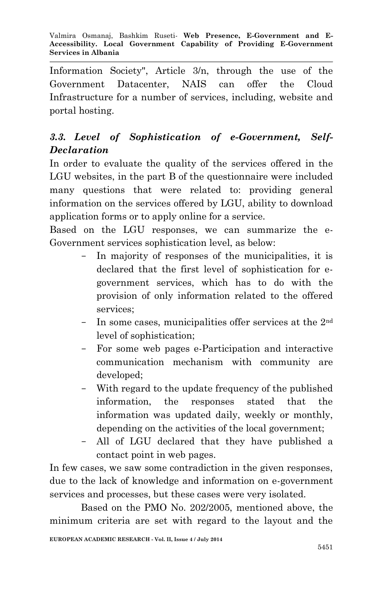Information Society", Article 3/n, through the use of the Government Datacenter, NAIS can offer the Cloud Infrastructure for a number of services, including, website and portal hosting.

# *3.3. Level of Sophistication of e-Government, Self-Declaration*

In order to evaluate the quality of the services offered in the LGU websites, in the part B of the questionnaire were included many questions that were related to: providing general information on the services offered by LGU, ability to download application forms or to apply online for a service.

Based on the LGU responses, we can summarize the e-Government services sophistication level, as below:

- In majority of responses of the municipalities, it is declared that the first level of sophistication for egovernment services, which has to do with the provision of only information related to the offered services;
- In some cases, municipalities offer services at the 2nd level of sophistication;
- For some web pages e-Participation and interactive communication mechanism with community are developed;
- With regard to the update frequency of the published information, the responses stated that the information was updated daily, weekly or monthly, depending on the activities of the local government;
- All of LGU declared that they have published a contact point in web pages.

In few cases, we saw some contradiction in the given responses, due to the lack of knowledge and information on e-government services and processes, but these cases were very isolated.

Based on the PMO No. 202/2005, mentioned above, the minimum criteria are set with regard to the layout and the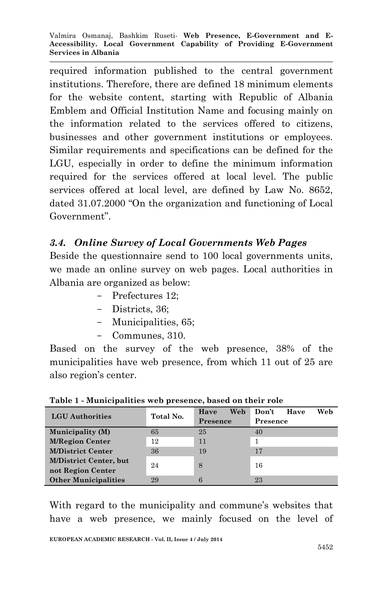required information published to the central government institutions. Therefore, there are defined 18 minimum elements for the website content, starting with Republic of Albania Emblem and Official Institution Name and focusing mainly on the information related to the services offered to citizens, businesses and other government institutions or employees. Similar requirements and specifications can be defined for the LGU, especially in order to define the minimum information required for the services offered at local level. The public services offered at local level, are defined by Law No. 8652, dated 31.07.2000 "On the organization and functioning of Local Government".

### *3.4. Online Survey of Local Governments Web Pages*

Beside the questionnaire send to 100 local governments units, we made an online survey on web pages. Local authorities in Albania are organized as below:

- Prefectures 12;
- Districts, 36;
- Municipalities, 65;
- Communes, 310.

Based on the survey of the web presence, 38% of the municipalities have web presence, from which 11 out of 25 are also region's center.

| <b>LGU</b> Authorities                             | Total No. | Web<br>Have<br>Presence | Web<br>Don't<br>Have<br>Presence |
|----------------------------------------------------|-----------|-------------------------|----------------------------------|
| <b>Municipality (M)</b>                            | 65        | 25                      | 40                               |
| <b>M/Region Center</b>                             | 12        | 11                      |                                  |
| <b>M/District Center</b>                           | 36        | 19                      | 17                               |
| <b>M/District Center, but</b><br>not Region Center | 24        | 8                       | 16                               |
| <b>Other Municipalities</b>                        | 29        | 6                       | 23                               |

**Table 1 - Municipalities web presence, based on their role**

With regard to the municipality and commune's websites that have a web presence, we mainly focused on the level of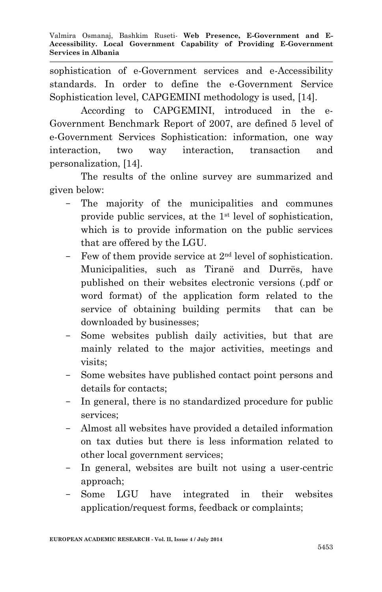sophistication of e-Government services and e-Accessibility standards. In order to define the e-Government Service Sophistication level, CAPGEMINI methodology is used, [14].

According to CAPGEMINI, introduced in the e-Government Benchmark Report of 2007, are defined 5 level of e-Government Services Sophistication: information, one way interaction, two way interaction, transaction and personalization, [14].

The results of the online survey are summarized and given below:

- The majority of the municipalities and communes provide public services, at the 1st level of sophistication, which is to provide information on the public services that are offered by the LGU.
- Few of them provide service at  $2<sup>nd</sup>$  level of sophistication. Municipalities, such as Tiranë and Durrës, have published on their websites electronic versions (.pdf or word format) of the application form related to the service of obtaining building permits that can be downloaded by businesses;
- Some websites publish daily activities, but that are mainly related to the major activities, meetings and visits;
- Some websites have published contact point persons and details for contacts;
- In general, there is no standardized procedure for public services;
- Almost all websites have provided a detailed information on tax duties but there is less information related to other local government services;
- In general, websites are built not using a user-centric approach;
- Some LGU have integrated in their websites application/request forms, feedback or complaints;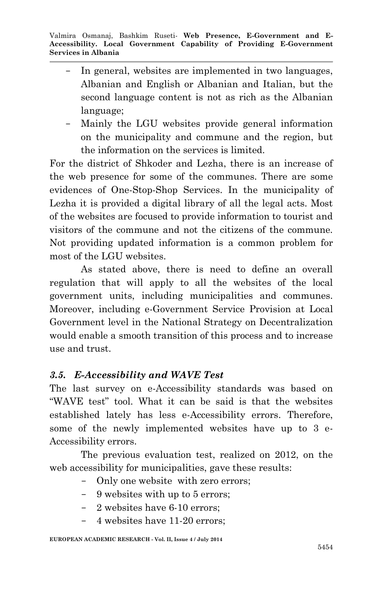- In general, websites are implemented in two languages, Albanian and English or Albanian and Italian, but the second language content is not as rich as the Albanian language;
- Mainly the LGU websites provide general information on the municipality and commune and the region, but the information on the services is limited.

For the district of Shkoder and Lezha, there is an increase of the web presence for some of the communes. There are some evidences of One-Stop-Shop Services. In the municipality of Lezha it is provided a digital library of all the legal acts. Most of the websites are focused to provide information to tourist and visitors of the commune and not the citizens of the commune. Not providing updated information is a common problem for most of the LGU websites.

As stated above, there is need to define an overall regulation that will apply to all the websites of the local government units, including municipalities and communes. Moreover, including e-Government Service Provision at Local Government level in the National Strategy on Decentralization would enable a smooth transition of this process and to increase use and trust.

### *3.5. E-Accessibility and WAVE Test*

The last survey on e-Accessibility standards was based on "WAVE test" tool. What it can be said is that the websites established lately has less e-Accessibility errors. Therefore, some of the newly implemented websites have up to 3 e-Accessibility errors.

The previous evaluation test, realized on 2012, on the web accessibility for municipalities, gave these results:

- Only one website with zero errors;
- 9 websites with up to 5 errors;
- 2 websites have 6-10 errors;
- 4 websites have 11-20 errors;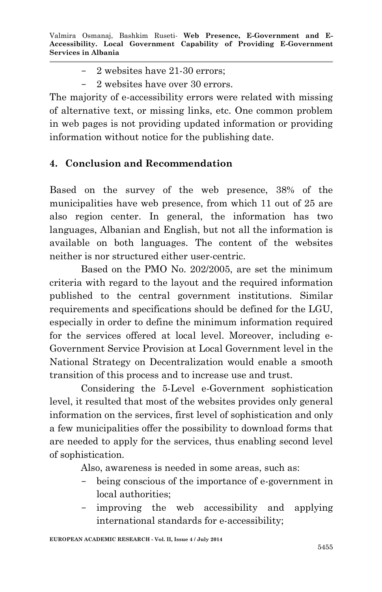- 2 websites have 21-30 errors;
- 2 websites have over 30 errors.

The majority of e-accessibility errors were related with missing of alternative text, or missing links, etc. One common problem in web pages is not providing updated information or providing information without notice for the publishing date.

### **4. Conclusion and Recommendation**

Based on the survey of the web presence, 38% of the municipalities have web presence, from which 11 out of 25 are also region center. In general, the information has two languages, Albanian and English, but not all the information is available on both languages. The content of the websites neither is nor structured either user-centric.

Based on the PMO No. 202/2005, are set the minimum criteria with regard to the layout and the required information published to the central government institutions. Similar requirements and specifications should be defined for the LGU, especially in order to define the minimum information required for the services offered at local level. Moreover, including e-Government Service Provision at Local Government level in the National Strategy on Decentralization would enable a smooth transition of this process and to increase use and trust.

Considering the 5-Level e-Government sophistication level, it resulted that most of the websites provides only general information on the services, first level of sophistication and only a few municipalities offer the possibility to download forms that are needed to apply for the services, thus enabling second level of sophistication.

Also, awareness is needed in some areas, such as:

- being conscious of the importance of e-government in local authorities;
- improving the web accessibility and applying international standards for e-accessibility;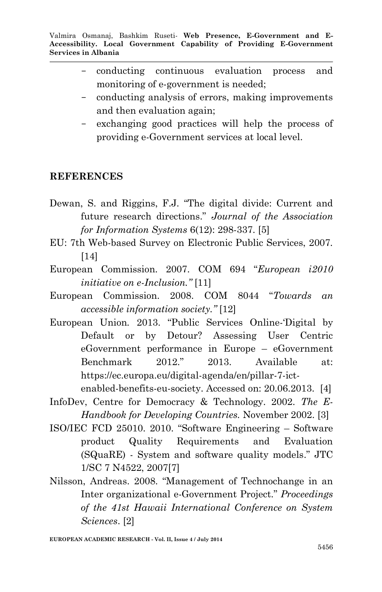- conducting continuous evaluation process and monitoring of e-government is needed;
- conducting analysis of errors, making improvements and then evaluation again;
- exchanging good practices will help the process of providing e-Government services at local level.

#### **REFERENCES**

- Dewan, S. and Riggins, F.J. "The digital divide: Current and future research directions." *Journal of the Association for Information Systems* 6(12): 298-337. [5]
- EU: 7th Web-based Survey on Electronic Public Services, 2007. [14]
- European Commission. 2007. COM 694 "*European i2010 initiative on e-Inclusion."* [11]
- European Commission. 2008. COM 8044 "*Towards an accessible information society."* [12]
- European Union*.* 2013. "Public Services Online-'Digital by Default or by Detour? Assessing User Centric eGovernment performance in Europe – eGovernment Benchmark 2012." 2013. Available at: https://ec.europa.eu/digital-agenda/en/pillar-7-ictenabled-benefits-eu-society. Accessed on: 20.06.2013. [4]
- InfoDev, Centre for Democracy & Technology. 2002. *The E-Handbook for Developing Countries.* November 2002. [3]
- ISO/IEC FCD 25010. 2010. "Software Engineering Software product Quality Requirements and Evaluation (SQuaRE) - System and software quality models." JTC 1/SC 7 N4522, 2007[7]
- Nilsson, Andreas. 2008. "Management of Technochange in an Inter organizational e-Government Project." *Proceedings of the 41st Hawaii International Conference on System Sciences*. [2]